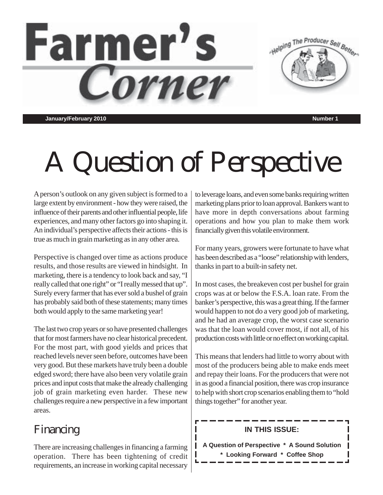

**January/February 2010 Number 1**

# A Question of Perspective

A person's outlook on any given subject is formed to a large extent by environment - how they were raised, the influence of their parents and other influential people, life experiences, and many other factors go into shaping it. An individual's perspective affects their actions - this is true as much in grain marketing as in any other area.

Perspective is changed over time as actions produce results, and those results are viewed in hindsight. In marketing, there is a tendency to look back and say, "I really called that one right" or "I really messed that up". Surely every farmer that has ever sold a bushel of grain has probably said both of these statements; many times both would apply to the same marketing year!

The last two crop years or so have presented challenges that for most farmers have no clear historical precedent. For the most part, with good yields and prices that reached levels never seen before, outcomes have been very good. But these markets have truly been a double edged sword; there have also been very volatile grain prices and input costs that make the already challenging job of grain marketing even harder. These new challenges require a new perspective in a few important areas.

# Financing

There are increasing challenges in financing a farming operation. There has been tightening of credit requirements, an increase in working capital necessary

to leverage loans, and even some banks requiring written marketing plans prior to loan approval. Bankers want to have more in depth conversations about farming operations and how you plan to make them work financially given this volatile environment.

For many years, growers were fortunate to have what has been described as a "loose" relationship with lenders, thanks in part to a built-in safety net.

In most cases, the breakeven cost per bushel for grain crops was at or below the F.S.A. loan rate. From the banker's perspective, this was a great thing. If the farmer would happen to not do a very good job of marketing, and he had an average crop, the worst case scenario was that the loan would cover most, if not all, of his production costs with little or no effect on working capital.

This means that lenders had little to worry about with most of the producers being able to make ends meet and repay their loans. For the producers that were not in as good a financial position, there was crop insurance to help with short crop scenarios enabling them to "hold things together" for another year.

### **IN THIS ISSUE:**

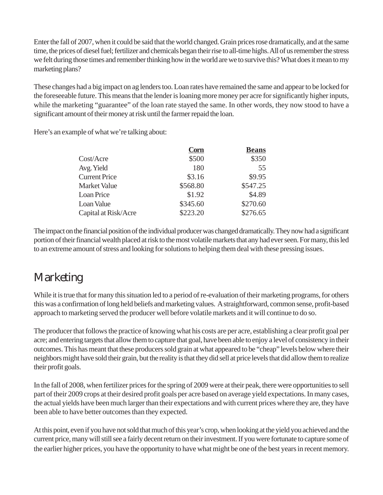Enter the fall of 2007, when it could be said that the world changed. Grain prices rose dramatically, and at the same time, the prices of diesel fuel; fertilizer and chemicals began their rise to all-time highs. All of us remember the stress we felt during those times and remember thinking how in the world are we to survive this? What does it mean to my marketing plans?

These changes had a big impact on ag lenders too. Loan rates have remained the same and appear to be locked for the foreseeable future. This means that the lender is loaning more money per acre for significantly higher inputs, while the marketing "guarantee" of the loan rate stayed the same. In other words, they now stood to have a significant amount of their money at risk until the farmer repaid the loan.

Here's an example of what we're talking about:

|                      | <b>Corn</b> | <b>Beans</b> |
|----------------------|-------------|--------------|
| Cost/Acre            | \$500       | \$350        |
| Avg. Yield           | 180         | 55           |
| <b>Current Price</b> | \$3.16      | \$9.95       |
| Market Value         | \$568.80    | \$547.25     |
| <b>Loan Price</b>    | \$1.92      | \$4.89       |
| Loan Value           | \$345.60    | \$270.60     |
| Capital at Risk/Acre | \$223.20    | \$276.65     |

The impact on the financial position of the individual producer was changed dramatically. They now had a significant portion of their financial wealth placed at risk to the most volatile markets that any had ever seen. For many, this led to an extreme amount of stress and looking for solutions to helping them deal with these pressing issues.

## **Marketing**

While it is true that for many this situation led to a period of re-evaluation of their marketing programs, for others this was a confirmation of long held beliefs and marketing values. A straightforward, common sense, profit-based approach to marketing served the producer well before volatile markets and it will continue to do so.

The producer that follows the practice of knowing what his costs are per acre, establishing a clear profit goal per acre; and entering targets that allow them to capture that goal, have been able to enjoy a level of consistency in their outcomes. This has meant that these producers sold grain at what appeared to be "cheap" levels below where their neighbors might have sold their grain, but the reality is that they did sell at price levels that did allow them to realize their profit goals.

In the fall of 2008, when fertilizer prices for the spring of 2009 were at their peak, there were opportunities to sell part of their 2009 crops at their desired profit goals per acre based on average yield expectations. In many cases, the actual yields have been much larger than their expectations and with current prices where they are, they have been able to have better outcomes than they expected.

At this point, even if you have not sold that much of this year's crop, when looking at the yield you achieved and the current price, many will still see a fairly decent return on their investment. If you were fortunate to capture some of the earlier higher prices, you have the opportunity to have what might be one of the best years in recent memory.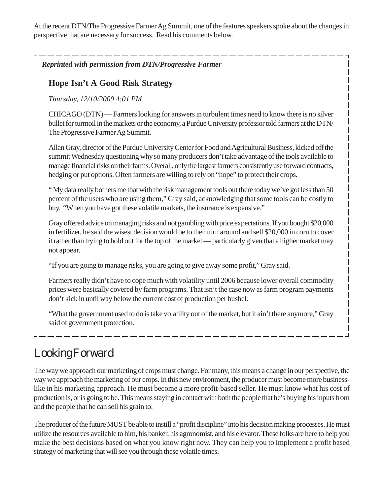At the recent DTN/The Progressive Farmer Ag Summit, one of the features speakers spoke about the changes in perspective that are necessary for success. Read his comments below.

*Reprinted with permission from DTN/Progressive Farmer*

#### **Hope Isn't A Good Risk Strategy**

*Thursday, 12/10/2009 4:01 PM*

CHICAGO (DTN) — Farmers looking for answers in turbulent times need to know there is no silver bullet for turmoil in the markets or the economy, a Purdue University professor told farmers at the DTN/ The Progressive Farmer Ag Summit.

Allan Gray, director of the Purdue University Center for Food and Agricultural Business, kicked off the summit Wednesday questioning why so many producers don't take advantage of the tools available to manage financial risks on their farms. Overall, only the largest farmers consistently use forward contracts, hedging or put options. Often farmers are willing to rely on "hope" to protect their crops.

" My data really bothers me that with the risk management tools out there today we've got less than 50 percent of the users who are using them," Gray said, acknowledging that some tools can be costly to buy. "When you have got these volatile markets, the insurance is expensive."

Gray offered advice on managing risks and not gambling with price expectations. If you bought \$20,000 in fertilizer, he said the wisest decision would be to then turn around and sell \$20,000 in corn to cover it rather than trying to hold out for the top of the market — particularly given that a higher market may not appear.

"If you are going to manage risks, you are going to give away some profit," Gray said.

Farmers really didn't have to cope much with volatility until 2006 because lower overall commodity prices were basically covered by farm programs. That isn't the case now as farm program payments don't kick in until way below the current cost of production per bushel.

"What the government used to do is take volatility out of the market, but it ain't there anymore," Gray said of government protection.

# Looking Forward

The way we approach our marketing of crops must change. For many, this means a change in our perspective, the way we approach the marketing of our crops. In this new environment, the producer must become more businesslike in his marketing approach. He must become a more profit-based seller. He must know what his cost of production is, or is going to be. This means staying in contact with both the people that he's buying his inputs from and the people that he can sell his grain to.

The producer of the future MUST be able to instill a "profit discipline" into his decision making processes. He must utilize the resources available to him, his banker, his agronomist, and his elevator. These folks are here to help you make the best decisions based on what you know right now. They can help you to implement a profit based strategy of marketing that will see you through these volatile times.